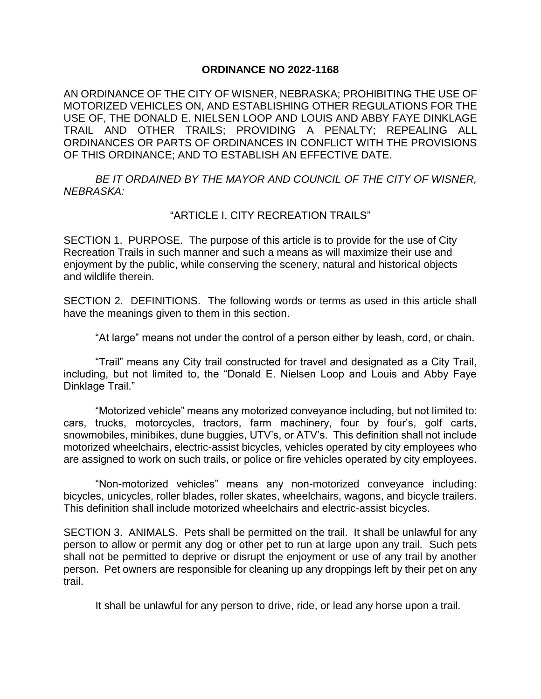## **ORDINANCE NO 2022-1168**

AN ORDINANCE OF THE CITY OF WISNER, NEBRASKA; PROHIBITING THE USE OF MOTORIZED VEHICLES ON, AND ESTABLISHING OTHER REGULATIONS FOR THE USE OF, THE DONALD E. NIELSEN LOOP AND LOUIS AND ABBY FAYE DINKLAGE TRAIL AND OTHER TRAILS; PROVIDING A PENALTY; REPEALING ALL ORDINANCES OR PARTS OF ORDINANCES IN CONFLICT WITH THE PROVISIONS OF THIS ORDINANCE; AND TO ESTABLISH AN EFFECTIVE DATE.

*BE IT ORDAINED BY THE MAYOR AND COUNCIL OF THE CITY OF WISNER, NEBRASKA:*

## "ARTICLE I. CITY RECREATION TRAILS"

SECTION 1. PURPOSE. The purpose of this article is to provide for the use of City Recreation Trails in such manner and such a means as will maximize their use and enjoyment by the public, while conserving the scenery, natural and historical objects and wildlife therein.

SECTION 2. DEFINITIONS. The following words or terms as used in this article shall have the meanings given to them in this section.

"At large" means not under the control of a person either by leash, cord, or chain.

"Trail" means any City trail constructed for travel and designated as a City Trail, including, but not limited to, the "Donald E. Nielsen Loop and Louis and Abby Faye Dinklage Trail."

"Motorized vehicle" means any motorized conveyance including, but not limited to: cars, trucks, motorcycles, tractors, farm machinery, four by four's, golf carts, snowmobiles, minibikes, dune buggies, UTV's, or ATV's. This definition shall not include motorized wheelchairs, electric-assist bicycles, vehicles operated by city employees who are assigned to work on such trails, or police or fire vehicles operated by city employees.

"Non-motorized vehicles" means any non-motorized conveyance including: bicycles, unicycles, roller blades, roller skates, wheelchairs, wagons, and bicycle trailers. This definition shall include motorized wheelchairs and electric-assist bicycles.

SECTION 3. ANIMALS. Pets shall be permitted on the trail. It shall be unlawful for any person to allow or permit any dog or other pet to run at large upon any trail. Such pets shall not be permitted to deprive or disrupt the enjoyment or use of any trail by another person. Pet owners are responsible for cleaning up any droppings left by their pet on any trail.

It shall be unlawful for any person to drive, ride, or lead any horse upon a trail.